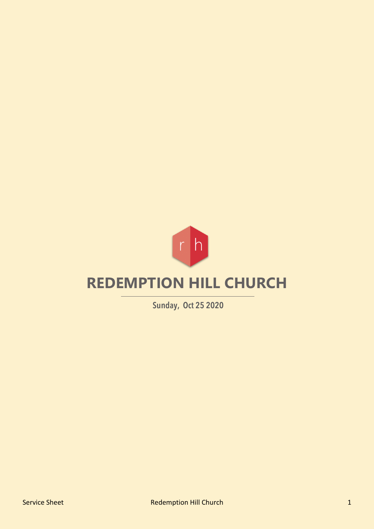

**Sunday, Oct 25 2020**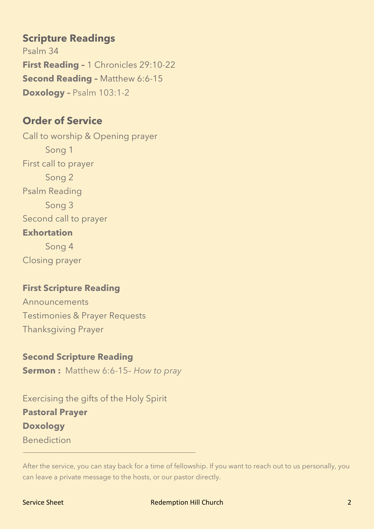## **Scripture Readings**

Psalm 34 **First Reading –** 1 Chronicles 29:10-22 **Second Reading –** Matthew 6:6-15 **Doxology –** Psalm 103:1-2

## **Order of Service**

Call to worship & Opening prayer Song 1 First call to prayer Song 2 Psalm Reading Song 3 Second call to prayer **Exhortation** Song 4 Closing prayer

#### **First Scripture Reading**

Announcements Testimonies & Prayer Requests Thanksgiving Prayer

## **Second Scripture Reading Sermon :** Matthew 6:6-15– *How to pray*

Exercising the gifts of the Holy Spirit **Pastoral Prayer Doxology** Benediction

After the service, you can stay back for a time of fellowship. If you want to reach out to us personally, you can leave a private message to the hosts, or our pastor directly.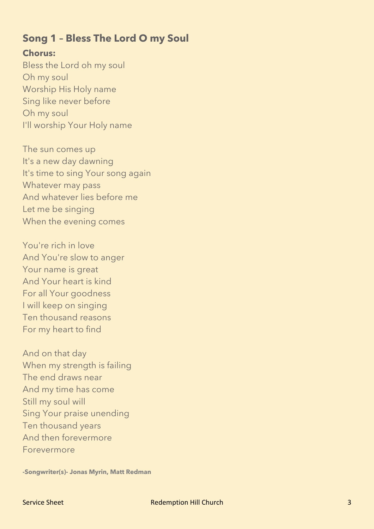# **Song 1 – Bless The Lord O my Soul**

#### **Chorus:**

Bless the Lord oh my soul Oh my soul Worship His Holy name Sing like never before Oh my soul I'll worship Your Holy name

The sun comes up It's a new day dawning It's time to sing Your song again Whatever may pass And whatever lies before me Let me be singing When the evening comes

You're rich in love And You're slow to anger Your name is great And Your heart is kind For all Your goodness I will keep on singing Ten thousand reasons For my heart to find

And on that day When my strength is failing The end draws near And my time has come Still my soul will Sing Your praise unending Ten thousand years And then forevermore Forevermore

**-Songwriter(s)- Jonas Myrin, Matt Redman**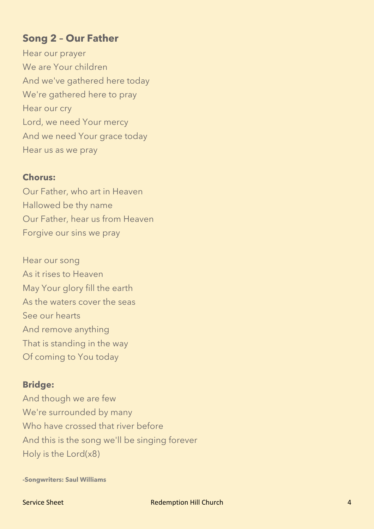## **Song 2 – Our Father**

Hear our prayer We are Your children And we've gathered here today We're gathered here to pray Hear our cry Lord, we need Your mercy And we need Your grace today Hear us as we pray

#### **Chorus:**

Our Father, who art in Heaven Hallowed be thy name Our Father, hear us from Heaven Forgive our sins we pray

Hear our song As it rises to Heaven May Your glory fill the earth As the waters cover the seas See our hearts And remove anything That is standing in the way Of coming to You today

## **Bridge:**

And though we are few We're surrounded by many Who have crossed that river before And this is the song we'll be singing forever Holy is the Lord(x8)

#### **-Songwriters: Saul Williams**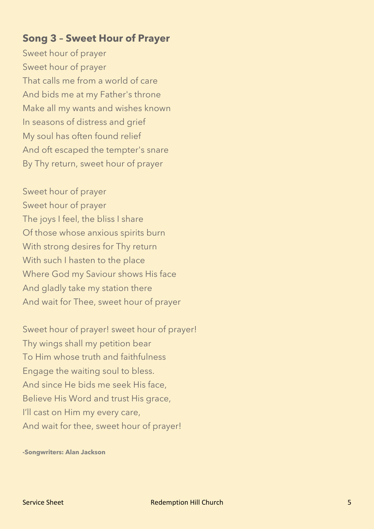## **Song 3 – Sweet Hour of Prayer**

Sweet hour of prayer Sweet hour of prayer That calls me from a world of care And bids me at my Father's throne Make all my wants and wishes known In seasons of distress and grief My soul has often found relief And oft escaped the tempter's snare By Thy return, sweet hour of prayer

Sweet hour of prayer Sweet hour of prayer The joys I feel, the bliss I share Of those whose anxious spirits burn With strong desires for Thy return With such I hasten to the place Where God my Saviour shows His face And gladly take my station there And wait for Thee, sweet hour of prayer

Sweet hour of prayer! sweet hour of prayer! Thy wings shall my petition bear To Him whose truth and faithfulness Engage the waiting soul to bless. And since He bids me seek His face, Believe His Word and trust His grace, I'll cast on Him my every care, And wait for thee, sweet hour of prayer!

**-Songwriters: Alan Jackson**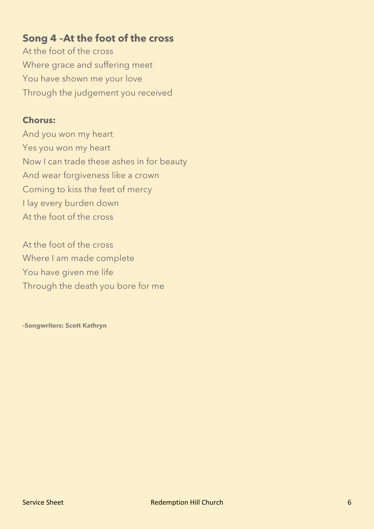# **Song 4 –At the foot of the cross**

At the foot of the cross Where grace and suffering meet You have shown me your love Through the judgement you received

## **Chorus:**

And you won my heart Yes you won my heart Now I can trade these ashes in for beauty And wear forgiveness like a crown Coming to kiss the feet of mercy I lay every burden down At the foot of the cross

At the foot of the cross Where I am made complete You have given me life Through the death you bore for me

**-Songwriters: Scott Kathryn**